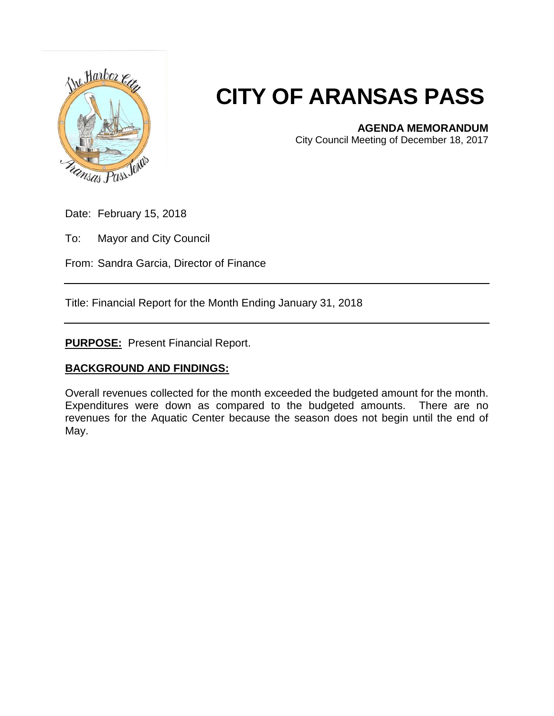

## **CITY OF ARANSAS PASS**

## **AGENDA MEMORANDUM**

City Council Meeting of December 18, 2017

Date: February 15, 2018

To: Mayor and City Council

From: Sandra Garcia, Director of Finance

Title: Financial Report for the Month Ending January 31, 2018

**PURPOSE:** Present Financial Report.

## **BACKGROUND AND FINDINGS:**

Overall revenues collected for the month exceeded the budgeted amount for the month. Expenditures were down as compared to the budgeted amounts. There are no revenues for the Aquatic Center because the season does not begin until the end of May.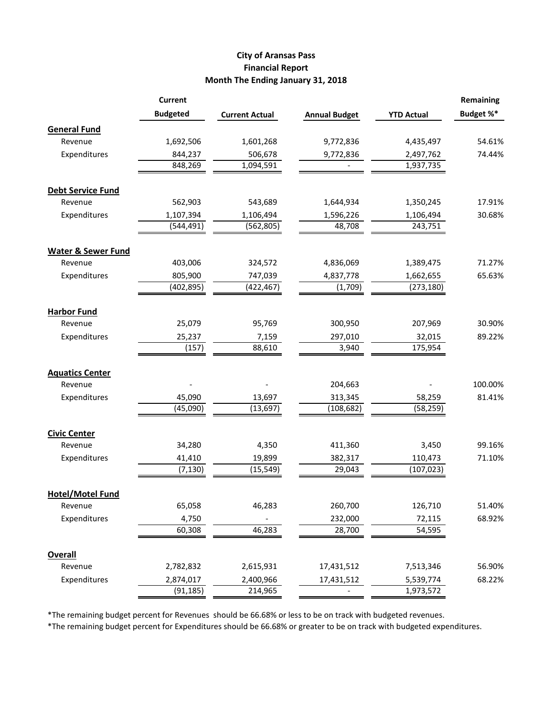## **City of Aransas Pass Financial Report Month The Ending January 31, 2018**

|                               | <b>Current</b>  |                       |                      |                   | <b>Remaining</b> |
|-------------------------------|-----------------|-----------------------|----------------------|-------------------|------------------|
|                               | <b>Budgeted</b> | <b>Current Actual</b> | <b>Annual Budget</b> | <b>YTD Actual</b> | Budget %*        |
| <b>General Fund</b>           |                 |                       |                      |                   |                  |
| Revenue                       | 1,692,506       | 1,601,268             | 9,772,836            | 4,435,497         | 54.61%           |
| Expenditures                  | 844,237         | 506,678               | 9,772,836            | 2,497,762         | 74.44%           |
|                               | 848,269         | 1,094,591             |                      | 1,937,735         |                  |
| <b>Debt Service Fund</b>      |                 |                       |                      |                   |                  |
| Revenue                       | 562,903         | 543,689               | 1,644,934            | 1,350,245         | 17.91%           |
| Expenditures                  | 1,107,394       | 1,106,494             | 1,596,226            | 1,106,494         | 30.68%           |
|                               | (544, 491)      | (562, 805)            | 48,708               | 243,751           |                  |
| <b>Water &amp; Sewer Fund</b> |                 |                       |                      |                   |                  |
| Revenue                       | 403,006         | 324,572               | 4,836,069            | 1,389,475         | 71.27%           |
| Expenditures                  | 805,900         | 747,039               | 4,837,778            | 1,662,655         | 65.63%           |
|                               | (402, 895)      | (422, 467)            | (1,709)              | (273, 180)        |                  |
| <b>Harbor Fund</b>            |                 |                       |                      |                   |                  |
| Revenue                       | 25,079          | 95,769                | 300,950              | 207,969           | 30.90%           |
| Expenditures                  | 25,237          | 7,159                 | 297,010              | 32,015            | 89.22%           |
|                               | (157)           | 88,610                | 3,940                | 175,954           |                  |
| <b>Aquatics Center</b>        |                 |                       |                      |                   |                  |
| Revenue                       |                 |                       | 204,663              |                   | 100.00%          |
| Expenditures                  | 45,090          | 13,697                | 313,345              | 58,259            | 81.41%           |
|                               | (45,090)        | (13, 697)             | (108, 682)           | (58, 259)         |                  |
| <b>Civic Center</b>           |                 |                       |                      |                   |                  |
| Revenue                       | 34,280          | 4,350                 | 411,360              | 3,450             | 99.16%           |
| Expenditures                  | 41,410          | 19,899                | 382,317              | 110,473           | 71.10%           |
|                               | (7, 130)        | (15, 549)             | 29,043               | (107, 023)        |                  |
| <b>Hotel/Motel Fund</b>       |                 |                       |                      |                   |                  |
| Revenue                       | 65,058          | 46,283                | 260,700              | 126,710           | 51.40%           |
| Expenditures                  | 4,750           |                       | 232,000              | 72,115            | 68.92%           |
|                               | 60,308          | 46,283                | 28,700               | 54,595            |                  |
| <b>Overall</b>                |                 |                       |                      |                   |                  |
| Revenue                       | 2,782,832       | 2,615,931             | 17,431,512           | 7,513,346         | 56.90%           |
| Expenditures                  | 2,874,017       | 2,400,966             | 17,431,512           | 5,539,774         | 68.22%           |
|                               | (91, 185)       | 214,965               |                      | 1,973,572         |                  |

\*The remaining budget percent for Revenues should be 66.68% or less to be on track with budgeted revenues.

\*The remaining budget percent for Expenditures should be 66.68% or greater to be on track with budgeted expenditures.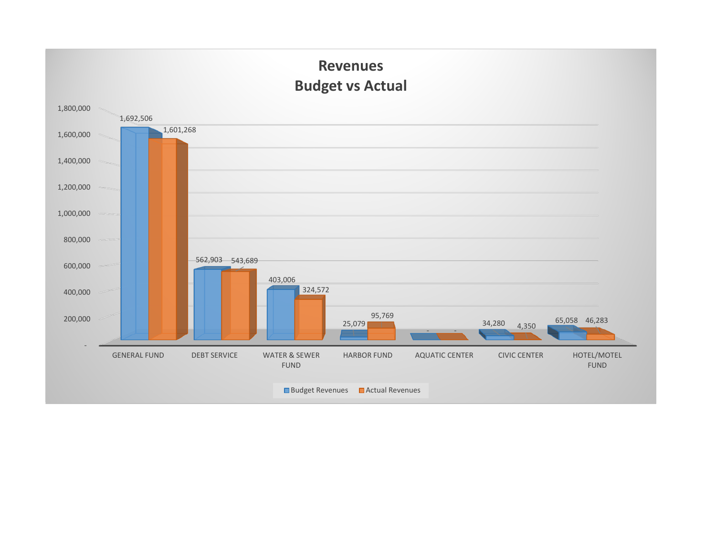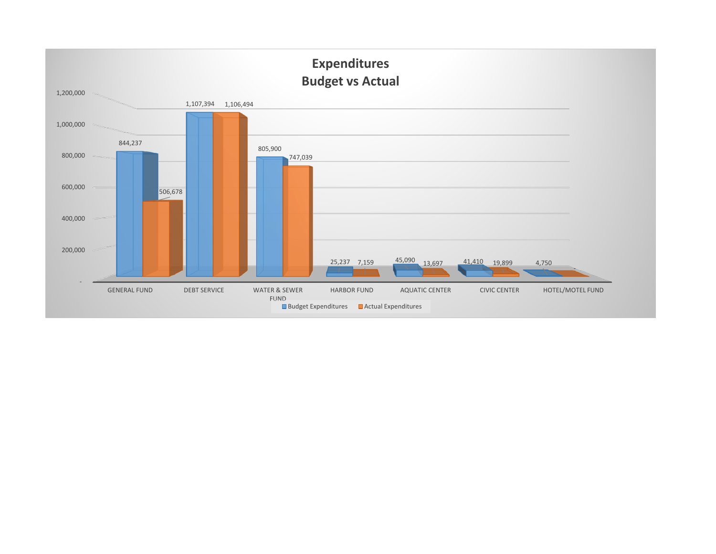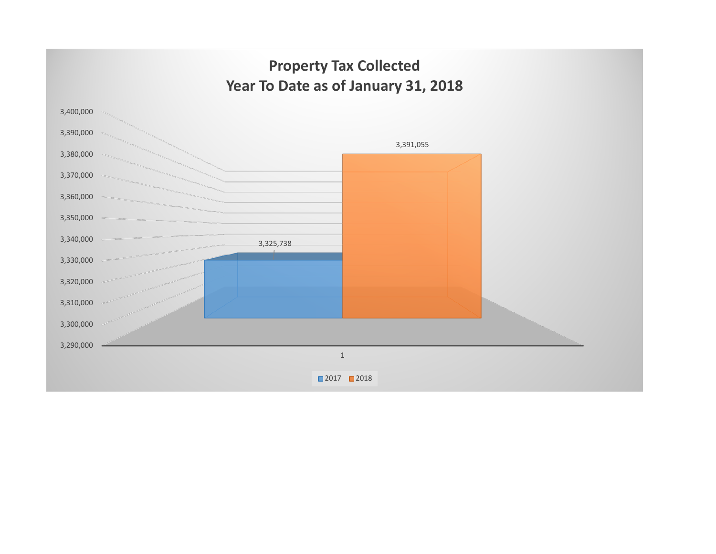